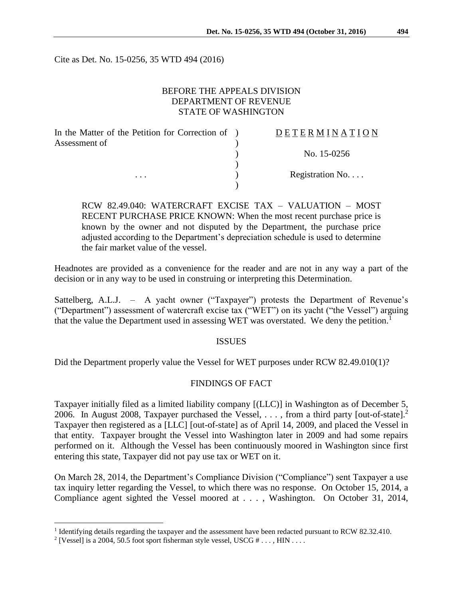Cite as Det. No. 15-0256, 35 WTD 494 (2016)

## BEFORE THE APPEALS DIVISION DEPARTMENT OF REVENUE STATE OF WASHINGTON

| In the Matter of the Petition for Correction of ) | DETERMINATION    |
|---------------------------------------------------|------------------|
| Assessment of<br>$\cdots$                         |                  |
|                                                   | No. 15-0256      |
|                                                   |                  |
|                                                   | Registration No. |
|                                                   |                  |

RCW 82.49.040: WATERCRAFT EXCISE TAX – VALUATION – MOST RECENT PURCHASE PRICE KNOWN: When the most recent purchase price is known by the owner and not disputed by the Department, the purchase price adjusted according to the Department's depreciation schedule is used to determine the fair market value of the vessel.

Headnotes are provided as a convenience for the reader and are not in any way a part of the decision or in any way to be used in construing or interpreting this Determination.

Sattelberg, A.L.J. – A yacht owner ("Taxpayer") protests the Department of Revenue's ("Department") assessment of watercraft excise tax ("WET") on its yacht ("the Vessel") arguing that the value the Department used in assessing WET was overstated. We deny the petition.<sup>1</sup>

### ISSUES

Did the Department properly value the Vessel for WET purposes under RCW 82.49.010(1)?

# FINDINGS OF FACT

Taxpayer initially filed as a limited liability company [(LLC)] in Washington as of December 5, 2006. In August 2008, Taxpayer purchased the Vessel,  $\dots$ , from a third party [out-of-state].<sup>2</sup> Taxpayer then registered as a [LLC] [out-of-state] as of April 14, 2009, and placed the Vessel in that entity. Taxpayer brought the Vessel into Washington later in 2009 and had some repairs performed on it. Although the Vessel has been continuously moored in Washington since first entering this state, Taxpayer did not pay use tax or WET on it.

On March 28, 2014, the Department's Compliance Division ("Compliance") sent Taxpayer a use tax inquiry letter regarding the Vessel, to which there was no response. On October 15, 2014, a Compliance agent sighted the Vessel moored at . . . , Washington. On October 31, 2014,

 $\overline{a}$ 

<sup>&</sup>lt;sup>1</sup> Identifying details regarding the taxpayer and the assessment have been redacted pursuant to RCW 82.32.410.

<sup>&</sup>lt;sup>2</sup> [Vessel] is a 2004, 50.5 foot sport fisherman style vessel, USCG  $# \dots$ , HIN ...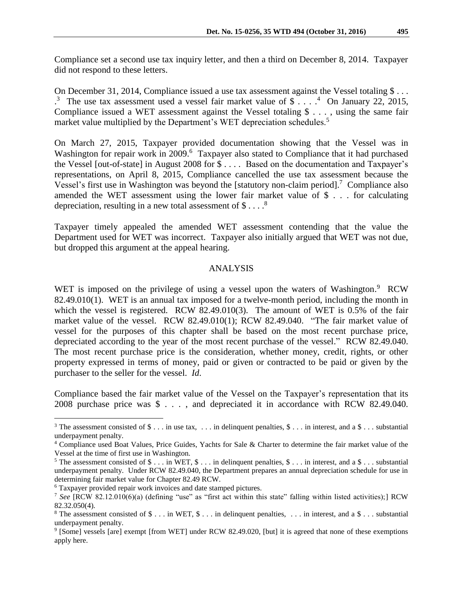Compliance set a second use tax inquiry letter, and then a third on December 8, 2014. Taxpayer did not respond to these letters.

On December 31, 2014, Compliance issued a use tax assessment against the Vessel totaling \$... <sup>3</sup> The use tax assessment used a vessel fair market value of \$....<sup>4</sup> On January 22, 2015, Compliance issued a WET assessment against the Vessel totaling \$ . . . , using the same fair market value multiplied by the Department's WET depreciation schedules.<sup>5</sup>

On March 27, 2015, Taxpayer provided documentation showing that the Vessel was in Washington for repair work in 2009.<sup>6</sup> Taxpayer also stated to Compliance that it had purchased the Vessel [out-of-state] in August 2008 for \$ . . . . Based on the documentation and Taxpayer's representations, on April 8, 2015, Compliance cancelled the use tax assessment because the Vessel's first use in Washington was beyond the [statutory non-claim period].<sup>7</sup> Compliance also amended the WET assessment using the lower fair market value of \$ . . . for calculating depreciation, resulting in a new total assessment of  $\$\dots$ .

Taxpayer timely appealed the amended WET assessment contending that the value the Department used for WET was incorrect. Taxpayer also initially argued that WET was not due, but dropped this argument at the appeal hearing.

### ANALYSIS

WET is imposed on the privilege of using a vessel upon the waters of Washington.<sup>9</sup> RCW 82.49.010(1). WET is an annual tax imposed for a twelve-month period, including the month in which the vessel is registered. RCW  $82.49.010(3)$ . The amount of WET is 0.5% of the fair market value of the vessel. RCW 82.49.010(1); RCW 82.49.040. "The fair market value of vessel for the purposes of this chapter shall be based on the most recent purchase price, depreciated according to the year of the most recent purchase of the vessel." RCW 82.49.040. The most recent purchase price is the consideration, whether money, credit, rights, or other property expressed in terms of money, paid or given or contracted to be paid or given by the purchaser to the seller for the vessel. *Id*.

Compliance based the fair market value of the Vessel on the Taxpayer's representation that its 2008 purchase price was \$ . . . , and depreciated it in accordance with RCW 82.49.040.

 $\overline{a}$ 

<sup>&</sup>lt;sup>3</sup> The assessment consisted of  $\$\dots$$  in use tax,  $\dots$  in delinquent penalties,  $\$\dots$$  in interest, and a  $\$\dots$  substantial underpayment penalty.

<sup>4</sup> Compliance used Boat Values, Price Guides, Yachts for Sale & Charter to determine the fair market value of the Vessel at the time of first use in Washington.

<sup>&</sup>lt;sup>5</sup> The assessment consisted of  $\$\dots$  in WET,  $\$\dots$  in delinquent penalties,  $\$\dots$  in interest, and a  $\$\dots$  substantial underpayment penalty. Under RCW 82.49.040, the Department prepares an annual depreciation schedule for use in determining fair market value for Chapter 82.49 RCW.

<sup>6</sup> Taxpayer provided repair work invoices and date stamped pictures.

<sup>7</sup> *See* [RCW 82.12.010(6)(a) (defining "use" as "first act within this state" falling within listed activities);] RCW 82.32.050(4).

<sup>&</sup>lt;sup>8</sup> The assessment consisted of  $\$\dots$  in WET,  $\$\dots$  in delinquent penalties,  $\dots$  in interest, and a  $\$\dots$  substantial underpayment penalty.

<sup>9</sup> [Some] vessels [are] exempt [from WET] under RCW 82.49.020, [but] it is agreed that none of these exemptions apply here.